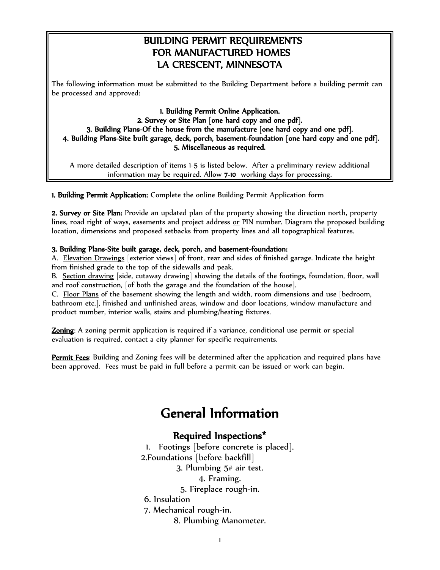## BUILDING PERMIT REQUIREMENTS FOR MANUFACTURED HOMES LA CRESCENT, MINNESOTA

The following information must be submitted to the Building Department before a building permit can be processed and approved:

#### 1. Building Permit Online Application. 2. Survey or Site Plan [one hard copy and one pdf]. 3. Building Plans-Of the house from the manufacture [one hard copy and one pdf]. 4. Building Plans-Site built garage, deck, porch, basement-foundation [one hard copy and one pdf]. 5. Miscellaneous as required.

A more detailed description of items 1-5 is listed below. After a preliminary review additional information may be required. Allow 7-10 working days for processing.

1. Building Permit Application: Complete the online Building Permit Application form

2. Survey or Site Plan: Provide an updated plan of the property showing the direction north, property lines, road right of ways, easements and project address or PIN number. Diagram the proposed building location, dimensions and proposed setbacks from property lines and all topographical features.

#### 3. Building Plans-Site built garage, deck, porch, and basement-foundation:

A. Elevation Drawings [exterior views] of front, rear and sides of finished garage. Indicate the height from finished grade to the top of the sidewalls and peak.

B. Section drawing [side, cutaway drawing] showing the details of the footings, foundation, floor, wall and roof construction, [of both the garage and the foundation of the house].

C. Floor Plans of the basement showing the length and width, room dimensions and use [bedroom, bathroom etc.], finished and unfinished areas, window and door locations, window manufacture and product number, interior walls, stairs and plumbing/heating fixtures.

Zoning: A zoning permit application is required if a variance, conditional use permit or special evaluation is required, contact a city planner for specific requirements.

Permit Fees: Building and Zoning fees will be determined after the application and required plans have been approved. Fees must be paid in full before a permit can be issued or work can begin.

# General Information

### Required Inspections\*

1. Footings [before concrete is placed]. 2.Foundations [before backfill] 3. Plumbing 5# air test. 4. Framing. 5. Fireplace rough-in. 6. Insulation 7. Mechanical rough-in. 8. Plumbing Manometer.